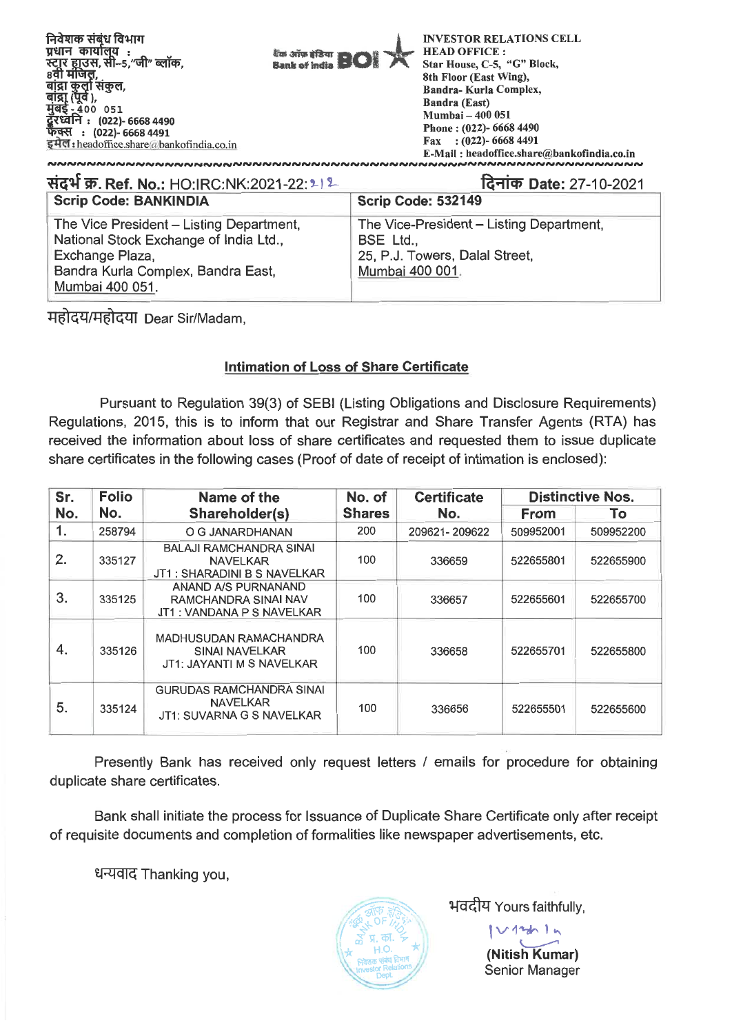| संदर्भ क्र. Ref. No.: HO:IRC:NK:2021-22:212                                                                                                                    | दिनांक Date: 27-10-2021                                                                                    |  |  |
|----------------------------------------------------------------------------------------------------------------------------------------------------------------|------------------------------------------------------------------------------------------------------------|--|--|
| <b>Scrip Code: BANKINDIA</b>                                                                                                                                   | Scrip Code: 532149                                                                                         |  |  |
| The Vice President - Listing Department,<br>National Stock Exchange of India Ltd.,<br>Exchange Plaza,<br>Bandra Kurla Complex, Bandra East,<br>Mumbai 400 051. | The Vice-President - Listing Department,<br>BSE Ltd.,<br>25, P.J. Towers, Dalal Street,<br>Mumbai 400 001. |  |  |

महोदय/महोदया Dear Sir/Madam,

# **Intimation of Loss of Share Certificate**

Pursuant to Regulation 39(3) of SEBI (Listing Obligations and Disclosure Requirements) Regulations, 2015, this is to inform that our Registrar and Share Transfer Agents (RTA) has received the information about loss of share certificates and requested them to issue duplicate share certificates in the following cases (Proof of date of receipt of intimation is enclosed):

| Sr. | <b>Folio</b> | Name of the                                                                     | No. of        | <b>Certificate</b> |             | <b>Distinctive Nos.</b> |
|-----|--------------|---------------------------------------------------------------------------------|---------------|--------------------|-------------|-------------------------|
| No. | No.          | Shareholder(s)                                                                  | <b>Shares</b> | No.                | <b>From</b> | To.                     |
| 1.  | 258794       | O G JANARDHANAN                                                                 | 200           | 209621-209622      | 509952001   | 509952200               |
| 2.  | 335127       | BALAJI RAMCHANDRA SINAI<br><b>NAVELKAR</b><br>JT1 : SHARADINI B S NAVELKAR      | 100           | 336659             | 522655801   | 522655900               |
| 3.  | 335125       | ANAND A/S PURNANAND<br>RAMCHANDRA SINAI NAV<br>JT1 : VANDANA P S NAVELKAR       | 100           | 336657             | 522655601   | 522655700               |
| 4.  | 335126       | MADHUSUDAN RAMACHANDRA<br>SINAI NAVELKAR<br>JT1: JAYANTI M S NAVELKAR           | 100           | 336658             | 522655701   | 522655800               |
| 5.  | 335124       | <b>GURUDAS RAMCHANDRA SINAI</b><br><b>NAVELKAR</b><br>JT1: SUVARNA G S NAVELKAR | 100           | 336656             | 522655501   | 522655600               |

**Presently Bank has received only request letters / emails for procedure for obtaining duplicate share certificates.** 

**Bank shall initiate the process for Issuance of Duplicate Share Certificate only after receipt of requisite documents and completion of formalities like newspaper advertisements, etc.** 

**ZIRTdT Thanking you, -**



भवदीय Yours faithfully,

 $112$   $\mu$ **(Nitish Kumar)**  Senior Manager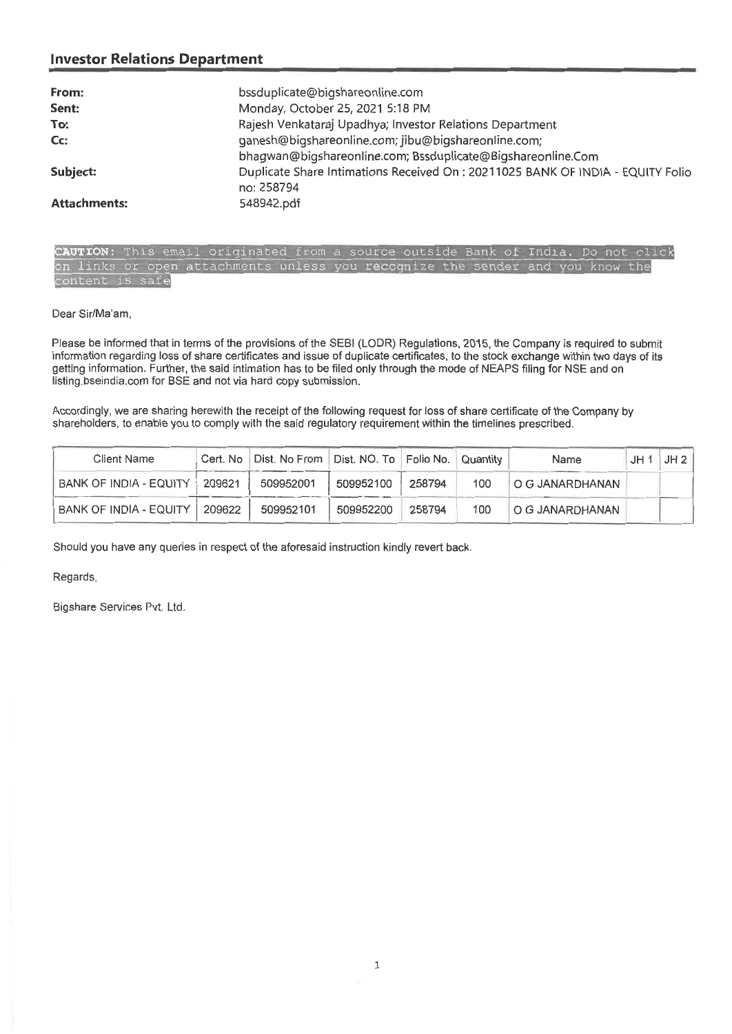| From:               | bssduplicate@bigshareonline.com                                                |
|---------------------|--------------------------------------------------------------------------------|
| Sent:               | Monday, October 25, 2021 5:18 PM                                               |
| To:                 | Rajesh Venkataraj Upadhya; Investor Relations Department                       |
| Cc:                 | ganesh@bigshareonline.com; jibu@bigshareonline.com;                            |
|                     | bhagwan@bigshareonline.com; Bssduplicate@Bigshareonline.Com                    |
| Subject:            | Duplicate Share Intimations Received On: 20211025 BANK OF INDIA - EQUITY Folio |
|                     | no: 258794                                                                     |
| <b>Attachments:</b> | 548942.pdf                                                                     |

CAUTION: This email originated from a source outside Bank of India. Do not click on links or open attachments unless you **reco** nize the sender and you know the content is safe

Dear Sir/Ma'am,

Please be informed that in terms of the provisions of the SEBI (LODR) Regulations, 2015, the Company is required to submit information regarding loss of share certificates and issue of duplicate certificates, to the stock exchange within two days of its getting information. Further, the said intimation has to be filed only through the mode of NEAPS filing for NSE and on listing bseindia.com for BSE and not via hard copy submission.

Accordingly, we are sharing herewith the receipt of the following request for loss of share certificate of the Company by shareholders, to enable you to comply with the said regulatory requirement within the timelines prescribed.

| Client Name                   |        | Cert. No   Dist. No From   Dist. NO. To   Folio No.   Quantity |           |        |     | <b>Name</b>     | JH | JH 2 |
|-------------------------------|--------|----------------------------------------------------------------|-----------|--------|-----|-----------------|----|------|
| <b>BANK OF INDIA - EQUITY</b> | 209621 | 509952001                                                      | 509952100 | 258794 | 100 | O G JANARDHANAN |    |      |
| BANK OF INDIA - EQUITY        | 209622 | 509952101                                                      | 509952200 | 258794 | 100 | O G JANARDHANAN |    |      |

Should you have any queries in respect of the aforesaid instruction kindly revert back.

Regards,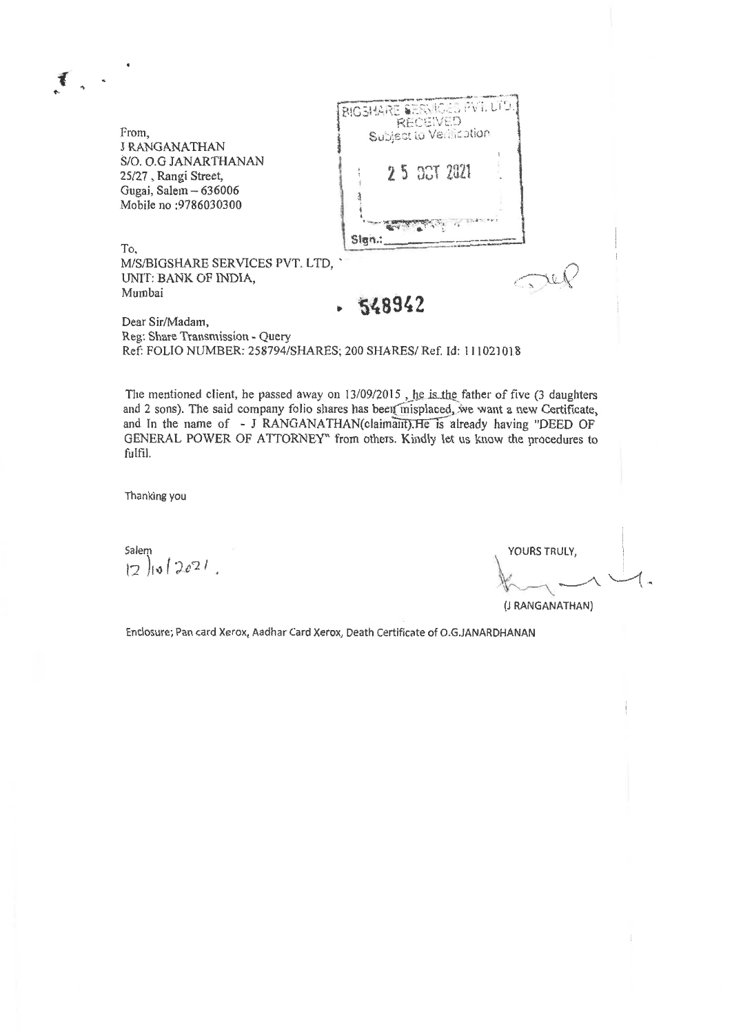BIGSHARE SERVICES PVT. LTD From, **J RANGANATHAN** S/0. 0.G JANARTHANAN 25 2021 25/27 , Rangi Street, Gugai, Salem — 636006  $\overline{A}$ Mobile no :9786030300 Sign.: To. M/S/BIGSHARE SERVICES PVT. LTD,  $\pi$ UNIT: BANK OF INDIA, Mumbai **• 548942**  Dear Sir/Madam, Reg: Share Transmission - Query Ref: FOLIO NUMBER: 258794/SHARES; 200 SHARES/ Ref. Id: 111021018

The mentioned client, he passed away on  $13/09/2015$ , he is the father of five (3 daughters and 2 sons). The said company folio shares has been misplaced, we want a new Certificate, and In the name of - J RANGANATHAN(claimant).He is already having "DEED OF GENERAL POWER OF ATTORNEY" from others. Kindly let us know the procedures to fulfil.

Thanking you

Salem YOURS TRULY,  $12$   $10$ <sup> $2021$ </sup>.

(J RANGANATHAN)

Enclosure; Pan card Xerox, Aadhar Card Xerox, Death Certificate of 0.G.JANARDHANAN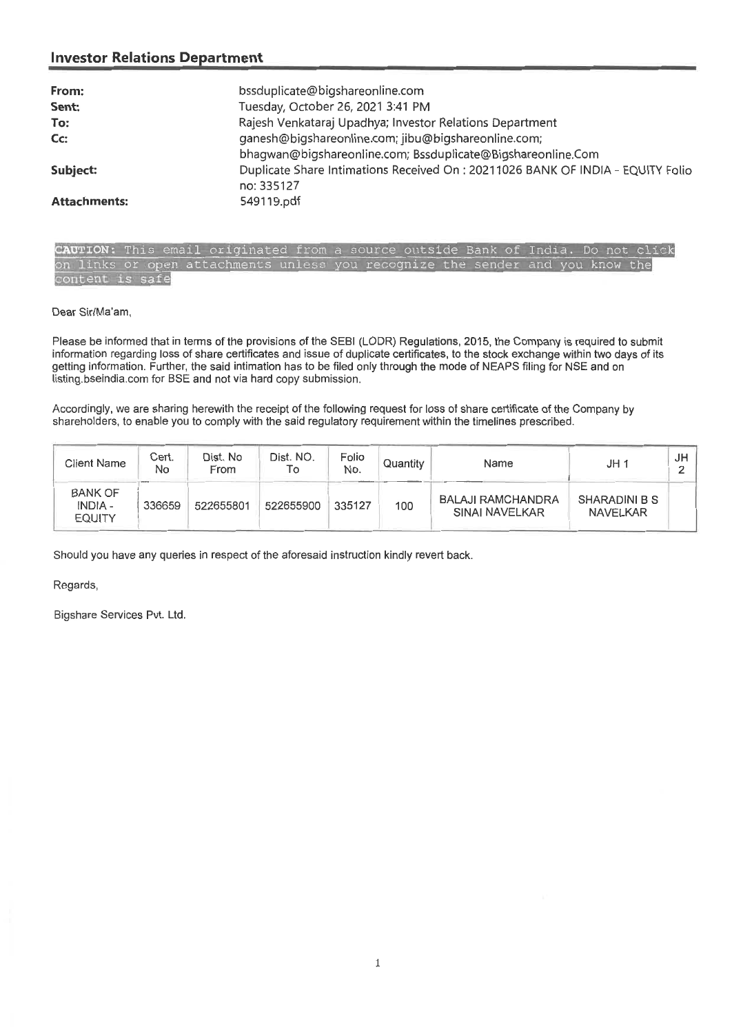| From:               | bssduplicate@bigshareonline.com                                                 |
|---------------------|---------------------------------------------------------------------------------|
| Sent:               | Tuesday, October 26, 2021 3:41 PM                                               |
| To:                 | Rajesh Venkataraj Upadhya; Investor Relations Department                        |
| Cc:                 | ganesh@bigshareonline.com; jibu@bigshareonline.com;                             |
|                     | bhagwan@bigshareonline.com; Bssduplicate@Bigshareonline.Com                     |
| Subject:            | Duplicate Share Intimations Received On : 20211026 BANK OF INDIA - EQUITY Folio |
|                     | no: 335127                                                                      |
| <b>Attachments:</b> | 549119.pdf                                                                      |

**UTION**: This email originated from a source outside Bank of India. Do not click<br>. links or open attachments unless you recognize the sender and you know the content is safe

Dear Sir/Ma'am,

Please be informed that in terms of the provisions of the SEBI (LODR) Regulations, 2015, the Company is required to submit information regarding loss of share certificates and issue of duplicate certificates, to the stock exchange within two days of its getting information. Further, the said intimation has to be filed only through the mode of NEAPS filing for NSE and on listing.bseindia.com for BSE and not via hard copy submission.

Accordingly, we are sharing herewith the receipt of the following request for loss of share certificate of the Company by shareholders, to enable you to comply with the said regulatory requirement within the timelines prescribed.

| Client Name                                | Cert.<br>No              | Dist. No<br>From | Dist. NO.<br>To | Folio<br>No. | Quantity | Name                                       | JH 1                      | JH |
|--------------------------------------------|--------------------------|------------------|-----------------|--------------|----------|--------------------------------------------|---------------------------|----|
| <b>BANK OF</b><br>INDIA -<br><b>EQUITY</b> | <b>Breward</b><br>336659 | 522655801        | 522655900       | 335127       | 100      | <b>BALAJI RAMCHANDRA</b><br>SINAI NAVELKAR | SHARADINI B S<br>NAVELKAR |    |

Should you have any queries in respect of the aforesaid instruction kindly revert back.

Regards,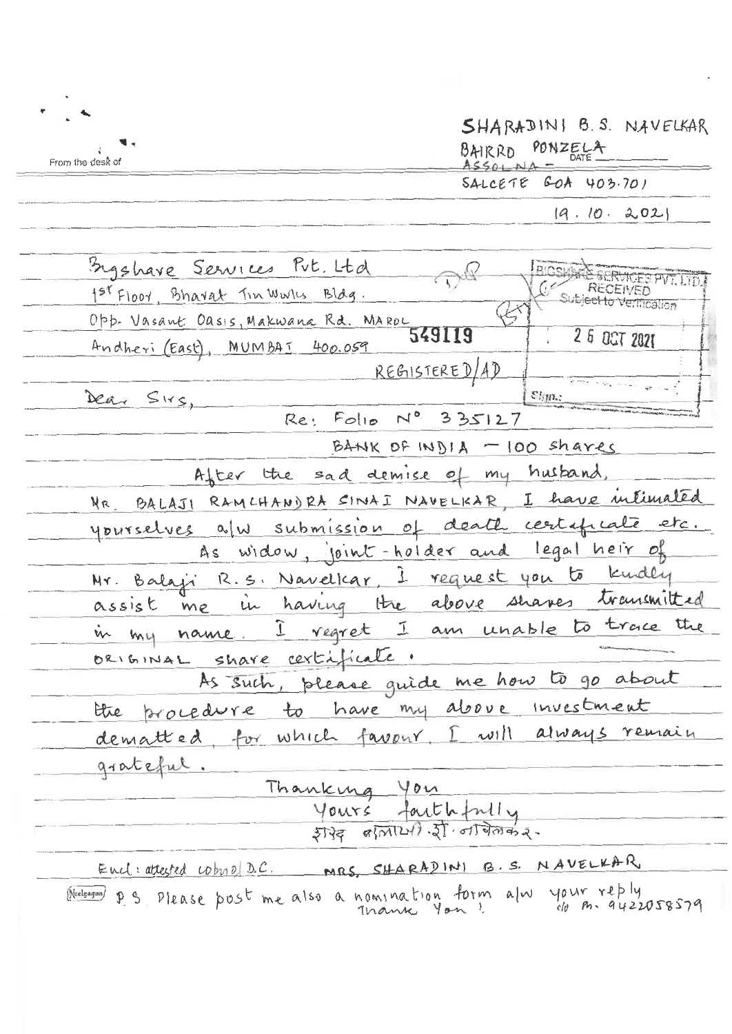|                  | SHARADINI B.S. NAVELKAR |
|------------------|-------------------------|
| From the desk of | 3AIRRD PONZELA          |
|                  | $SALCEPTE$ GOA 403.701  |
|                  | 19, 10, 2.02            |

| Sigghave Services Put. Ltd                                         |                                               | <b>BIGSKILAN DE</b>             |
|--------------------------------------------------------------------|-----------------------------------------------|---------------------------------|
| 1 <sup>51</sup> Floor, Bhavat Tin Wulls Blag.                      |                                               | <b>C</b> Subject to Ventication |
| Opp. Vasant Oasis, Makwana Rd. Maroc                               |                                               |                                 |
| Andheri (East), MUMBAT 400.059                                     | 549119                                        | $260$ CT 2021                   |
|                                                                    | REGISTERED/AD                                 |                                 |
| Dear Sirs,                                                         |                                               | Sign.:                          |
|                                                                    | Re: Folio Nº 335127                           |                                 |
|                                                                    | BANK OF INDIA $-100$ shares                   |                                 |
| After the sad demise of my husband,                                |                                               |                                 |
| MR. BALAJI RAMCHANDRA SINAI NAVELKAR, I have inlimated             |                                               |                                 |
| yourselves a/w submission of death certificate etc.                |                                               |                                 |
| As widow, joint-holder and legal heir of                           |                                               |                                 |
| Mr. Balaji R.S. Navelkar, 1 request you to kindly                  |                                               |                                 |
| assist me in having the above shares transmitted                   |                                               |                                 |
| in my name. I regret I am unable to trace the                      |                                               |                                 |
| ORIGINAL share certificate.                                        |                                               |                                 |
| As such, please guide me how to go about                           |                                               |                                 |
| the procedure to have my above investment                          |                                               |                                 |
| dematted, for which favour. I will always remain                   |                                               |                                 |
| grateful.                                                          |                                               |                                 |
| Thanking You                                                       |                                               |                                 |
|                                                                    |                                               |                                 |
|                                                                    | Yours faithfully<br>5739 9/01/21/3/01/07/2020 |                                 |
| Encl: attested cobyo D.C. MRS, SHARADINI B.S. NAVELKAR             |                                               |                                 |
|                                                                    |                                               |                                 |
| Neelgagan p S Please post me also a nomination form alw your reply |                                               |                                 |
|                                                                    |                                               |                                 |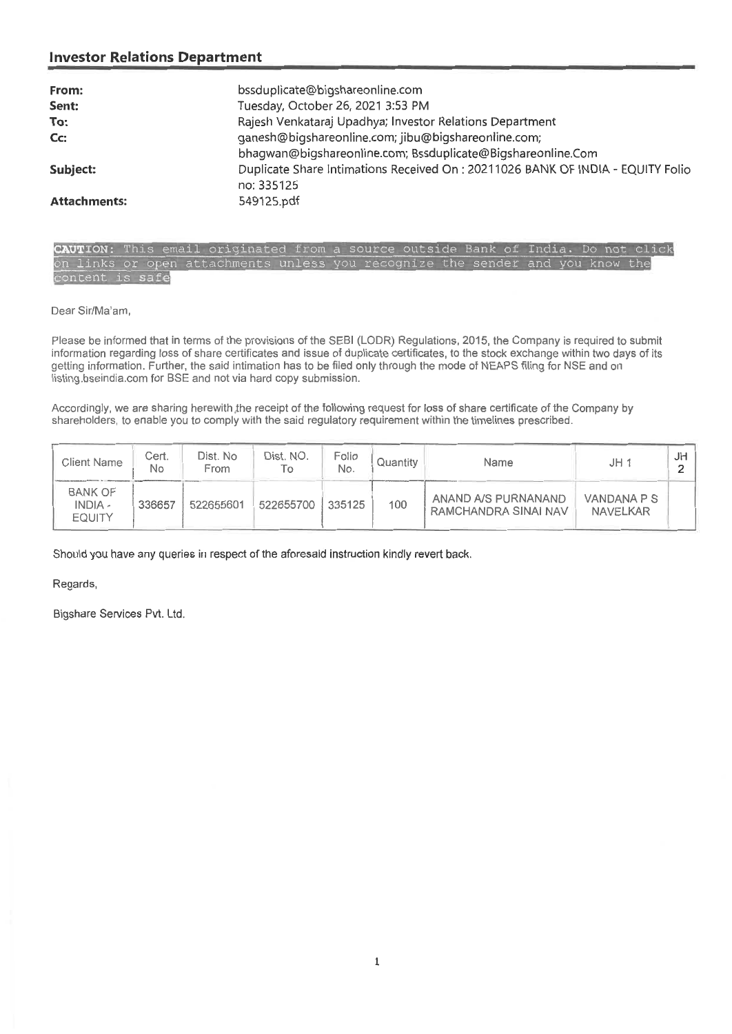| From:               | bssduplicate@bigshareonline.com                                                |
|---------------------|--------------------------------------------------------------------------------|
| Sent:               | Tuesday, October 26, 2021 3:53 PM                                              |
| To:                 | Rajesh Venkataraj Upadhya; Investor Relations Department                       |
| Cc:                 | ganesh@bigshareonline.com; jibu@bigshareonline.com;                            |
|                     | bhagwan@bigshareonline.com; Bssduplicate@Bigshareonline.Com                    |
| Subject:            | Duplicate Share Intimations Received On: 20211026 BANK OF INDIA - EQUITY Folio |
|                     | no: 335125                                                                     |
| <b>Attachments:</b> | 549125.pdf                                                                     |

CAUTION: This email originated from a source outside Bank of India. Do not click on links or open attachments unless you recognize the sender and you know the content is safe

Dear Sir/Ma'am,

Please be informed that in terms of the provisions of the SEBI (LODR) Regulations, 2015, the Company is required to submit information regarding loss of share certificates and issue of duplicate certificates, to the stock exchange within two days of its getting information. Further, the said intimation has to be filed only through the mode of NEAPS filing for NSE and on listing.bseindia.com for BSE and not via hard copy submission.

Accordingly, we are sharing herewith the receipt of the following request for loss of share certificate of the Company by shareholders, to enable you to comply with the said regulatory requirement within the timelines prescribed.

| Client Name                                       | Cert.<br>No | Dist. No<br>From | Dist. NO.<br>То | Folio<br>No. | Quantity | Name                                        | JH <sub>1</sub>                | JH |
|---------------------------------------------------|-------------|------------------|-----------------|--------------|----------|---------------------------------------------|--------------------------------|----|
| <b>BANK OF</b><br><b>INDIA -</b><br><b>EQUITY</b> | 336657      | 522655601        | 522655700       | 335125       | 100      | ANAND A/S PURNANAND<br>RAMCHANDRA SINAI NAV | VANDANA P S<br><b>NAVELKAR</b> |    |

Should you have any queries in respect of the aforesaid instruction kindly revert back.

Regards,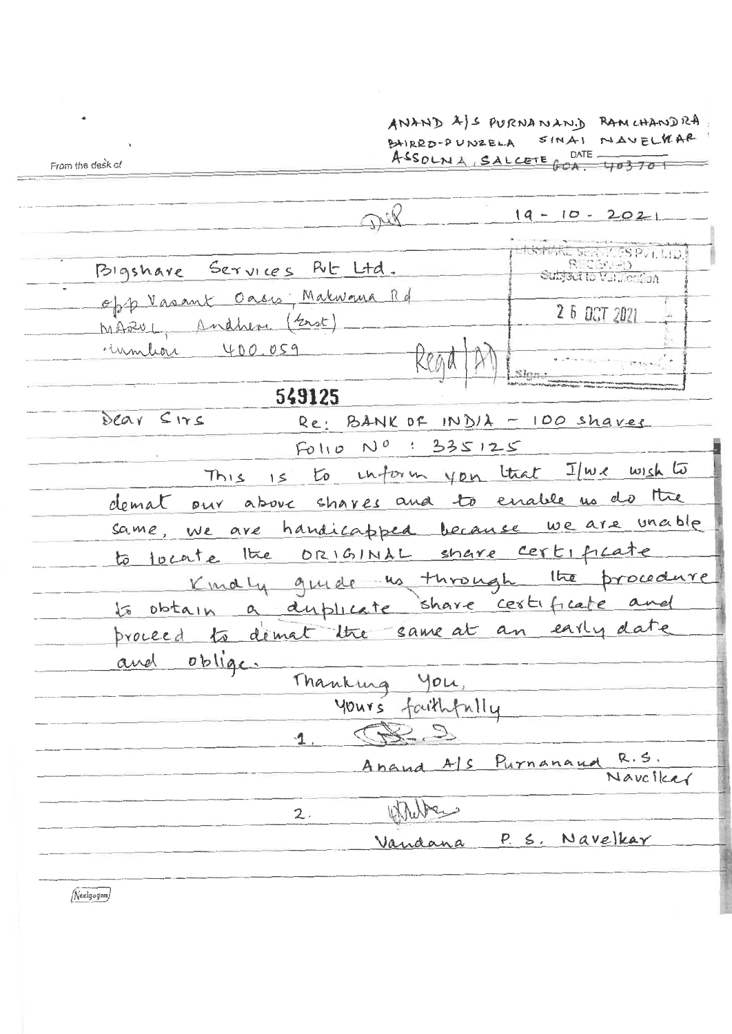ANAND  $A|S$  PURNANAND RAMCHANDRA. SINAI NAVELKAR BAIRRD-PUNZELA ASSOLNA, SALCETE GOA. 403701

From the desk of

Der  $19 - 10 - 2021$ BARE SERVICES PVI. LID Bigshare Services Rut Ltd. Subject to Value Ton Oasis: Makwana Rd opp Vasant 2 6 OCT 2021 Andhem (East) MARU1 400.059 Emmuni Slon, 549125 Dear Sirs Re: BANK OF INDIA - 100 shaves  $F_0 \parallel p N^0$ : 335125 This is to inform you that I we wish to demat our above shares and to enable us do the we are handicapped because we are unable same, to locate the ORIGINAL share certificate Kindly guide us through the procedure to obtain a duplicate share certificate a proceed to demat the same at an early date  $oblige.$ and Thanking you, yours faithfully S. to  $\mathbf{A}$ Purnanaud Anand A/S  $R.5$  , Navciker White  $2.$ P. S. Navelkar Vandana

Neelgagan)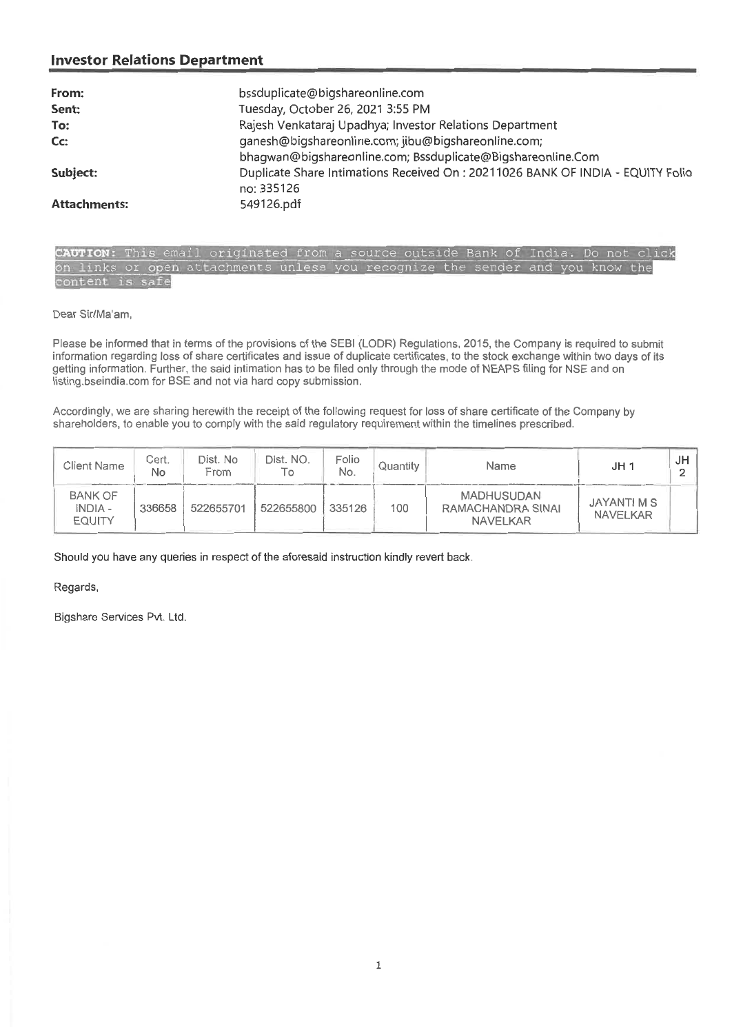| From:               | bssduplicate@bigshareonline.com                                                 |
|---------------------|---------------------------------------------------------------------------------|
| Sent:               | Tuesday, October 26, 2021 3:55 PM                                               |
| To:                 | Rajesh Venkataraj Upadhya; Investor Relations Department                        |
| Cc:                 | ganesh@bigshareonline.com; jibu@bigshareonline.com;                             |
|                     | bhagwan@bigshareonline.com; Bssduplicate@Bigshareonline.Com                     |
| Subject:            | Duplicate Share Intimations Received On : 20211026 BANK OF INDIA - EQUITY Folio |
|                     | no: 335126                                                                      |
| <b>Attachments:</b> | 549126.pdf                                                                      |

CAUTION: This email originated from a source outside Bank of India. Do not click links or open attachments unless you recognize the sender and you know the is safe

Dear Sir/Ma'am,

Please be informed that in terms of the provisions of the SEBI (LODR) Regulations, 2015, the Company is required to submit information regarding loss of share certificates and issue of duplicate certificates, to the stock exchange within two days of its getting information. Further, the said intimation has to be filed only through the mode of NEAPS filing for NSE and on listing.bseindia.com for BSE and not via hard copy submission.

Accordingly, we are sharing herewith the receipt of the following request for loss of share certificate of the Company by shareholders, to enable you to comply with the said regulatory requirement within the timelines prescribed.

| <b>Client Name</b>                                | Cert.<br>No | Dist. No<br>From | Dist. NO.<br>l O | Folio<br>No. | Quantity | Name                                                      | JH <sub>1</sub>         | JH |
|---------------------------------------------------|-------------|------------------|------------------|--------------|----------|-----------------------------------------------------------|-------------------------|----|
| <b>BANK OF</b><br><b>INDIA -</b><br><b>EQUITY</b> | 336658      | 522655701        | 522655800        | 335126       | 100      | <b>MADHUSUDAN</b><br>RAMACHANDRA SINAI<br><b>NAVELKAR</b> | JAYANTI M S<br>NAVELKAR |    |

Should you have any queries in respect of the aforesaid instruction kindly revert back.

Regards,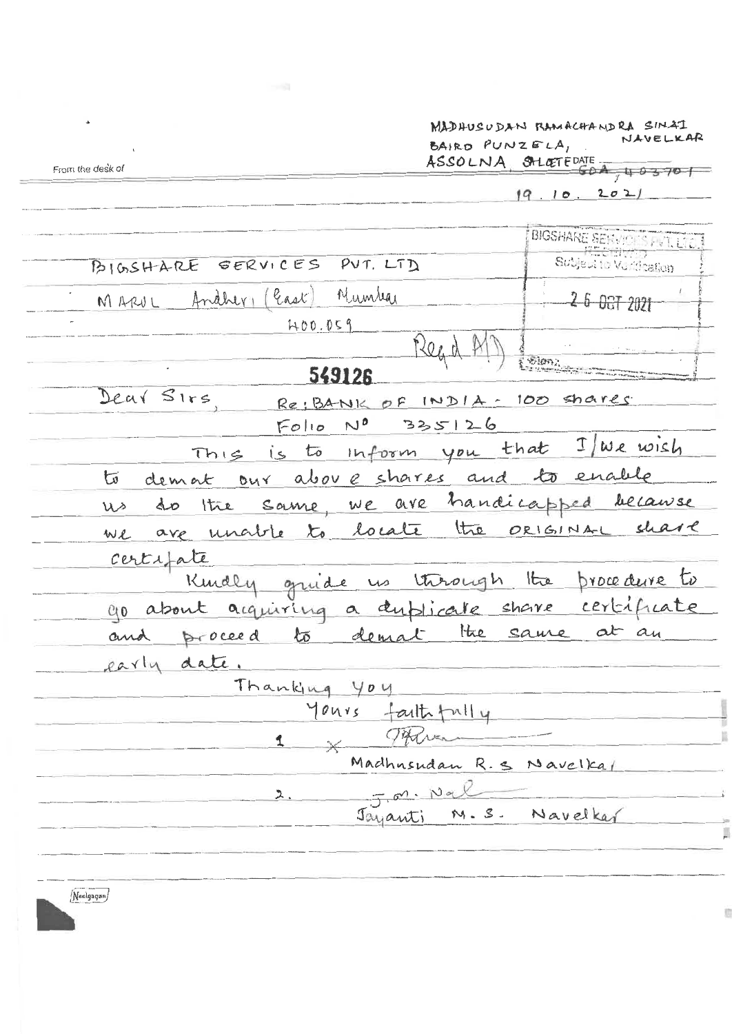MADHUSUDAN RAMACHANDRA SINAT NAVELKAR BAIRD PUNZELA, ASSOLNA SALGETEDATE.  $50A$ , 403701

From the desk of

 $19.10.202$ 

BIGSHARE SERVICES PVT. LT BIGSHARE SERVICES PUT. LTD Subject to Vurtication Andher (last) Number 26 067 2021 MARUL  $400.059$ Read 549126 Dear Sirs Re: BANK OF INDIA - 100 shares  $N^0$  335126  $F_{\mathcal{O}}|_{\mathcal{O}}$ This is to inform you that I we wish to demat our above shares and to enable us do the same, we are handicapped because we are unable to locate the original share certifate Kindly gruide us through the procedure to go about acquiring a dublicate share certificate and proceed to demat the same at an early date. Thanking You Yours faithfully  $x \times T$ Madhnsudan R.S Navelkal J.M. Nal  $2.$ Jayanti M.S. Navelkar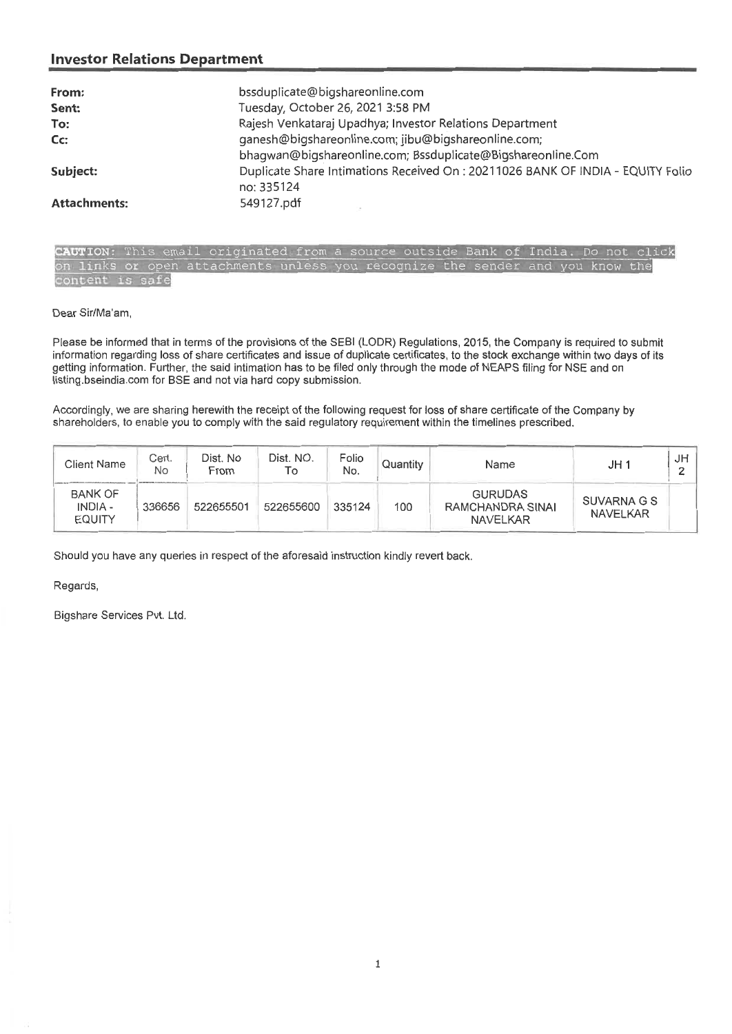| From:               | bssduplicate@bigshareonline.com                                                 |  |  |  |  |  |
|---------------------|---------------------------------------------------------------------------------|--|--|--|--|--|
| Sent:               | Tuesday, October 26, 2021 3:58 PM                                               |  |  |  |  |  |
| To:                 | Rajesh Venkataraj Upadhya; Investor Relations Department                        |  |  |  |  |  |
| Cc:                 | ganesh@bigshareonline.com; jibu@bigshareonline.com;                             |  |  |  |  |  |
|                     | bhagwan@bigshareonline.com; Bssduplicate@Bigshareonline.Com                     |  |  |  |  |  |
| Subject:            | Duplicate Share Intimations Received On : 20211026 BANK OF INDIA - EQUITY Folio |  |  |  |  |  |
|                     | no: 335124                                                                      |  |  |  |  |  |
| <b>Attachments:</b> | 549127.pdf                                                                      |  |  |  |  |  |

India. Do not click CAUTION: This email originated from a source outside Bank of links or open attachments unless you recognize the sender and you know the  $a$ fe

Dear Sir/Ma'am,

Please be informed that in terms of the provisions of the SEBI (LODR) Regulations, 2015, the Company is required to submit information regarding loss of share certificates and issue of duplicate certificates, to the stock exchange within two days of its getting information. Further, the said intimation has to be filed only through the mode of NEAPS filing for NSE and on listing.bseindia.com for BSE and not via hard copy submission.

Accordingly, we are sharing herewith the receipt of the following request for loss of share certificate of the Company by shareholders, to enable you to comply with the said regulatory requirement within the timelines prescribed.

| Client Name                                | Cert.<br>No | Dist. No<br>From | Dist. NO.<br>To | Folio<br>No. | Quantity | Name                                                  | JH 1                           | JH |
|--------------------------------------------|-------------|------------------|-----------------|--------------|----------|-------------------------------------------------------|--------------------------------|----|
| <b>BANK OF</b><br>INDIA -<br><b>EQUITY</b> | 336656      | 522655501        | 522655600       | 335124       | 100      | <b>GURUDAS</b><br>RAMCHANDRA SINAI<br><b>NAVELKAR</b> | SUVARNA G S<br><b>NAVELKAR</b> |    |

Should you have any queries in respect of the aforesaid instruction kindly revert back.

Regards,